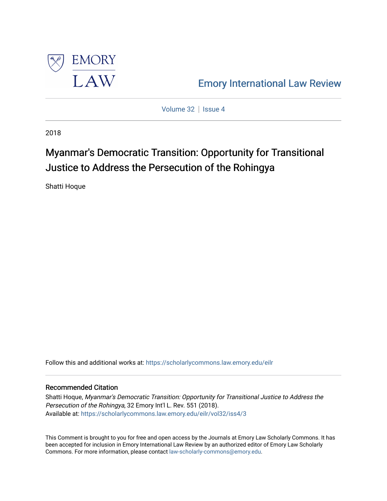

[Emory International Law Review](https://scholarlycommons.law.emory.edu/eilr) 

[Volume 32](https://scholarlycommons.law.emory.edu/eilr/vol32) | [Issue 4](https://scholarlycommons.law.emory.edu/eilr/vol32/iss4)

2018

# Myanmar's Democratic Transition: Opportunity for Transitional Justice to Address the Persecution of the Rohingya

Shatti Hoque

Follow this and additional works at: [https://scholarlycommons.law.emory.edu/eilr](https://scholarlycommons.law.emory.edu/eilr?utm_source=scholarlycommons.law.emory.edu%2Feilr%2Fvol32%2Fiss4%2F3&utm_medium=PDF&utm_campaign=PDFCoverPages)

# Recommended Citation

Shatti Hoque, Myanmar's Democratic Transition: Opportunity for Transitional Justice to Address the Persecution of the Rohingya, 32 Emory Int'l L. Rev. 551 (2018). Available at: [https://scholarlycommons.law.emory.edu/eilr/vol32/iss4/3](https://scholarlycommons.law.emory.edu/eilr/vol32/iss4/3?utm_source=scholarlycommons.law.emory.edu%2Feilr%2Fvol32%2Fiss4%2F3&utm_medium=PDF&utm_campaign=PDFCoverPages) 

This Comment is brought to you for free and open access by the Journals at Emory Law Scholarly Commons. It has been accepted for inclusion in Emory International Law Review by an authorized editor of Emory Law Scholarly Commons. For more information, please contact [law-scholarly-commons@emory.edu](mailto:law-scholarly-commons@emory.edu).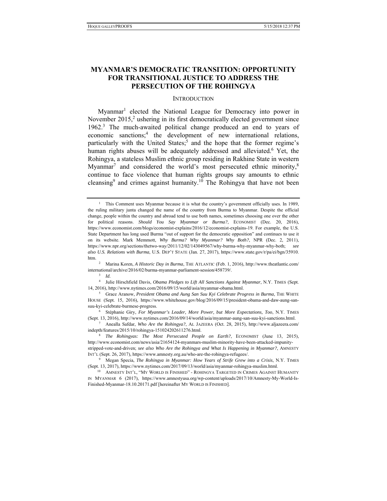# **MYANMAR'S DEMOCRATIC TRANSITION: OPPORTUNITY FOR TRANSITIONAL JUSTICE TO ADDRESS THE PERSECUTION OF THE ROHINGYA**

#### **INTRODUCTION**

Myanmar<sup>1</sup> elected the National League for Democracy into power in November 2015,<sup>2</sup> ushering in its first democratically elected government since 1962.<sup>3</sup> The much-awaited political change produced an end to years of economic sanctions;<sup>4</sup> the development of new international relations, particularly with the United States;<sup>5</sup> and the hope that the former regime's human rights abuses will be adequately addressed and alleviated.<sup>6</sup> Yet, the Rohingya, a stateless Muslim ethnic group residing in Rakhine State in western Myanmar<sup>7</sup> and considered the world's most persecuted ethnic minority,<sup>8</sup> continue to face violence that human rights groups say amounts to ethnic cleansing<sup>9</sup> and crimes against humanity.<sup>10</sup> The Rohingya that have not been

stripped-vote-and-driven; *see also Who Are the Rohingya and What Is Happening in Myanmar?*, AMNESTY INT'L (Sept. 26, 2017), https://www.amnesty.org.au/who-are-the-rohingya-refugees/.

<sup>1</sup> This Comment uses Myanmar because it is what the country's government officially uses. In 1989, the ruling military junta changed the name of the country from Burma to Myanmar. Despite the official change, people within the country and abroad tend to use both names, sometimes choosing one over the other for political reasons. *Should You Say Myanmar or Burma?*, ECONOMIST (Dec. 20, 2016), https://www.economist.com/blogs/economist-explains/2016/12/economist-explains-19. For example, the U.S. State Department has long used Burma "out of support for the democratic opposition" and continues to use it on its website. Mark Memmott, *Why Burma? Why Myanmar? Why Both?*, NPR (Dec. 2, 2011), https://www.npr.org/sections/thetwo-way/2011/12/02/143049567/why-burma-why-myanmar-why-both; *see also U.S. Relations with Burma*, U.S. DEP'T STATE (Jan. 27, 2017), https://www.state.gov/r/pa/ei/bgn/35910. htm. 2

<sup>&</sup>lt;sup>2</sup> Marina Koren, *A Historic Day in Burma*, THE ATLANTIC (Feb. 1, 2016), http://www.theatlantic.com/ international/archive/2016/02/burma-myanmar-parliament-session/458739/. 3 *Id.*<sup>4</sup>

<sup>&</sup>lt;sup>4</sup> Julie Hirschfield Davis, *Obama Pledges to Lift All Sanctions Against Myanmar*, N.Y. TIMES (Sept. 14, 2016), http://www.nytimes.com/2016/09/15/world/asia/myanmar-obama.html. 5 Grace Aranow, *President Obama and Aung San Suu Kyi Celebrate Progress in Burma*, THE WHITE

HOUSE (Sept. 15, 2016), https://www.whitehouse.gov/blog/2016/09/15/president-obama-and-daw-aung-sansuu-kyi-celebrate-burmese-progress. 6 Stéphanie Giry, *For Myanmar's Leader, More Power, but More Expectations, Too*, N.Y. TIMES

<sup>(</sup>Sept. 13, 2016), http://www.nytimes.com/2016/09/14/world/asia/myanmar-aung-san-suu-kyi-sanctions.html. 7 Anealla Safdar, *Who Are the Rohingya?*, AL JAZEERA (Oct. 28, 2015), http://www.aljazeera.com/

indepth/features/2015/10/rohingya-151024202611276.html. 8 *The Rohingyas: The Most Persecuted People on Earth?*, ECONOMIST (June 13, 2015),

http://www.economist.com/news/asia/21654124-myanmars-muslim-minority-have-been-attacked-impunity-

<sup>9</sup> Megan Specia, *The Rohingya in Myanmar: How Years of Strife Grew into a Crisis*, N.Y. TIMES (Sept. 13, 2017), https://www.nytimes.com/2017/09/13/world/asia/myanmar-rohingya-muslim.html. 10 AMNESTY INT'L, "MY WORLD IS FINISHED" - ROHINGYA TARGETED IN CRIMES AGAINST HUMANITY

IN MYANMAR 6 (2017), https://www.amnestyusa.org/wp-content/uploads/2017/10/Amnesty-My-World-Is-Finished-Myanmar-18.10.20171.pdf [hereinafter MY WORLD IS FINISHED].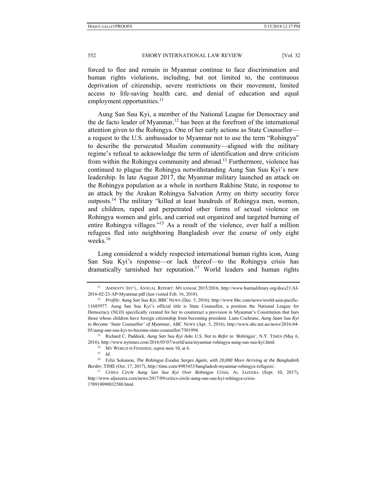forced to flee and remain in Myanmar continue to face discrimination and human rights violations, including, but not limited to, the continuous deprivation of citizenship, severe restrictions on their movement, limited access to life-saving health care, and denial of education and equal employment opportunities. $<sup>11</sup>$ </sup>

Aung San Suu Kyi, a member of the National League for Democracy and the de facto leader of Myanmar,<sup>12</sup> has been at the forefront of the international attention given to the Rohingya. One of her early actions as State Counsellor a request to the U.S. ambassador to Myanmar not to use the term "Rohingya" to describe the persecuted Muslim community—aligned with the military regime's refusal to acknowledge the term of identification and drew criticism from within the Rohingya community and abroad.<sup>13</sup> Furthermore, violence has continued to plague the Rohingya notwithstanding Aung San Suu Kyi's new leadership. In late August 2017, the Myanmar military launched an attack on the Rohingya population as a whole in northern Rakhine State, in response to an attack by the Arakan Rohingya Salvation Army on thirty security force outposts.<sup>14</sup> The military "killed at least hundreds of Rohingya men, women, and children, raped and perpetrated other forms of sexual violence on Rohingya women and girls, and carried out organized and targeted burning of entire Rohingya villages."15 As a result of the violence, over half a million refugees fled into neighboring Bangladesh over the course of only eight weeks. $16$ 

Long considered a widely respected international human rights icon, Aung San Suu Kyi's response—or lack thereof—to the Rohingya crisis has dramatically tarnished her reputation.<sup>17</sup> World leaders and human rights

<sup>11</sup> AMNESTY INT'L, ANNUAL REPORT: MYANMAR 2015/2016, http://www.burmalibrary.org/docs21/AI-2016-02-23-AP-Myanmar.pdf (last visited Feb. 16, 2018). 12 *Profile: Aung San Suu Kyi*, BBC NEWS (Dec. 5, 2016), http://www.bbc.com/news/world-asia-pacific-

<sup>11685977.</sup> Aung San Suu Kyi's official title is State Counsellor, a position the National League for Democracy (NLD) specifically created for her to counteract a provision in Myanmar's Constitution that bars those whose children have foreign citizenship from becoming president. Liam Cochrane, *Aung Saan Suu Kyi to Become 'State Counsellor' of Myanmar*, ABC NEWS (Apr. 5, 2016), http://www.abc.net.au/news/2016-04- 05/aung-san-suu-kyi-to-become-state-counsellor/7301994. 13 Richard C. Paddock, *Aung San Suu Kyi Asks U.S. Not to Refer to 'Rohingya'*, N.Y. TIMES (May 6,

<sup>2016),</sup> http://www.nytimes.com/2016/05/07/world/asia/myanmar-rohingya-aung-san-suu-kyi.html. 14 MY WORLD IS FINISHED, *supra* note 10, at 6. 15 *Id.*

<sup>16</sup> Feliz Solomon, *The Rohingya Exodus Surges Again, with 20,000 More Arriving at the Bangladesh Border*, TIME (Oct. 17, 2017), http://time.com/4985453/bangladesh-myanmar-rohingya-refugees/. 17 *Critics Circle Aung San Suu Kyi Over Rohingya Crisis*, AL JAZEERA (Sept. 10, 2017),

http://www.aljazeera.com/news/2017/09/critics-circle-aung-san-suu-kyi-rohingya-crisis-170910090032580.html.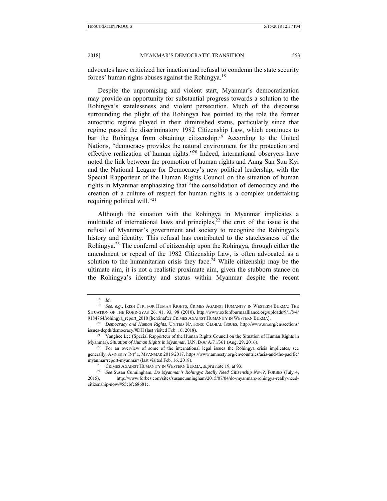advocates have criticized her inaction and refusal to condemn the state security forces' human rights abuses against the Rohingya.<sup>18</sup>

Despite the unpromising and violent start, Myanmar's democratization may provide an opportunity for substantial progress towards a solution to the Rohingya's statelessness and violent persecution. Much of the discourse surrounding the plight of the Rohingya has pointed to the role the former autocratic regime played in their diminished status, particularly since that regime passed the discriminatory 1982 Citizenship Law, which continues to bar the Rohingya from obtaining citizenship.<sup>19</sup> According to the United Nations, "democracy provides the natural environment for the protection and effective realization of human rights."20 Indeed, international observers have noted the link between the promotion of human rights and Aung San Suu Kyi and the National League for Democracy's new political leadership, with the Special Rapporteur of the Human Rights Council on the situation of human rights in Myanmar emphasizing that "the consolidation of democracy and the creation of a culture of respect for human rights is a complex undertaking requiring political will."21

Although the situation with the Rohingya in Myanmar implicates a multitude of international laws and principles, $^{22}$  the crux of the issue is the refusal of Myanmar's government and society to recognize the Rohingya's history and identity. This refusal has contributed to the statelessness of the Rohingya.23 The conferral of citizenship upon the Rohingya, through either the amendment or repeal of the 1982 Citizenship Law, is often advocated as a solution to the humanitarian crisis they face.<sup>24</sup> While citizenship may be the ultimate aim, it is not a realistic proximate aim, given the stubborn stance on the Rohingya's identity and status within Myanmar despite the recent

<sup>18</sup> *Id.*

<sup>19</sup> *See, e.g.*, IRISH CTR. FOR HUMAN RIGHTS, CRIMES AGAINST HUMANITY IN WESTERN BURMA: THE SITUATION OF THE ROHINGYAS 26, 41, 93, 98 (2010), http://www.oxfordburmaalliance.org/uploads/9/1/8/4/

<sup>9184764/</sup>rohingya\_report\_2010 [hereinafter CRIMES AGAINST HUMANITY IN WESTERN BURMA]. 20 *Democracy and Human Rights*, UNITED NATIONS: GLOBAL ISSUES, http://www.un.org/en/sections/ issues-depth/democracy/#DH (last visited Feb. 16, 2018).<br><sup>21</sup> Yanghee Lee (Special Rapporteur of the Human Rights Council on the Situation of Human Rights in

Myanmar), *Situation of Human Rights in Myanmar*, U.N. Doc A/71/361 (Aug. 29, 2016).<br><sup>22</sup> For an overview of some of the international legal issues the Rohingya crisis implicates, see

generally, AMNESTY INT'L, MYANMAR 2016/2017, https://www.amnesty.org/en/countries/asia-and-the-pacific/ myanmar/report-myanmar/ (last visited Feb. 16, 2018).<br><sup>23</sup> CRIMES AGAINST HUMANITY IN WESTERN BURMA, *supra* note 19, at 93.<br><sup>24</sup> See Susan Cunningham, *Do Myanmar's Rohingya Really Need Citizenship Now?*, FORBES (July 4,

<sup>2015),</sup> http://www.forbes.com/sites/susancunningham/2015/07/04/do-myanmars-rohingya-really-needcitizenship-now/#55cbfc68681c.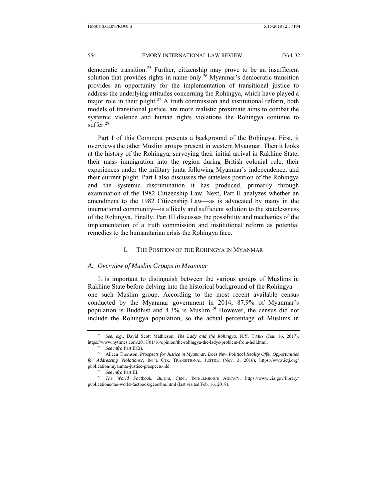democratic transition.<sup>25</sup> Further, citizenship may prove to be an insufficient solution that provides rights in name only.<sup>26</sup> Myanmar's democratic transition provides an opportunity for the implementation of transitional justice to address the underlying attitudes concerning the Rohingya, which have played a major role in their plight.<sup>27</sup> A truth commission and institutional reform, both models of transitional justice, are more realistic proximate aims to combat the systemic violence and human rights violations the Rohingya continue to suffer. $28$ 

Part I of this Comment presents a background of the Rohingya. First, it overviews the other Muslim groups present in western Myanmar. Then it looks at the history of the Rohingya, surveying their initial arrival in Rakhine State, their mass immigration into the region during British colonial rule, their experiences under the military junta following Myanmar's independence, and their current plight. Part I also discusses the stateless position of the Rohingya and the systemic discrimination it has produced, primarily through examination of the 1982 Citizenship Law. Next, Part II analyzes whether an amendment to the 1982 Citizenship Law—as is advocated by many in the international community—is a likely and sufficient solution to the statelessness of the Rohingya. Finally, Part III discusses the possibility and mechanics of the implementation of a truth commission and institutional reform as potential remedies to the humanitarian crisis the Rohingya face.

#### I. THE POSITION OF THE ROHINGYA IN MYANMAR

#### *A. Overview of Muslim Groups in Myanmar*

It is important to distinguish between the various groups of Muslims in Rakhine State before delving into the historical background of the Rohingya one such Muslim group. According to the most recent available census conducted by the Myanmar government in 2014, 87.9% of Myanmar's population is Buddhist and 4.3% is Muslim.29 However, the census did not include the Rohingya population, so the actual percentage of Muslims in

<sup>25</sup> *See, e.g.*, David Scott Mathieson, *The Lady and the Rohingya*, N.Y. TIMES (Jan. 16, 2017), https://www.nytimes.com/2017/01/16/opinion/the-rohingya-the-ladys-problem-from-hell.html.<br><sup>26</sup> See infra Part II(B).<br><sup>27</sup> Aileen Thomson, *Prospects for Justice in Myanmar: Does New Political Reality Offer Opportunities* 

*for Addressing Violations?*, INT'L CTR. TRANSITIONAL JUSTICE (Nov. 3, 2016), https://www.ictj.org/

publication/myanmar-justice-prospects-nld. 28 *See infra* Part III. 29 *The World Factbook: Burma*, CENT. INTELLIGENCE AGENCY, https://www.cia.gov/library/ publications/the-world-factbook/geos/bm.html (last visited Feb. 16, 2018).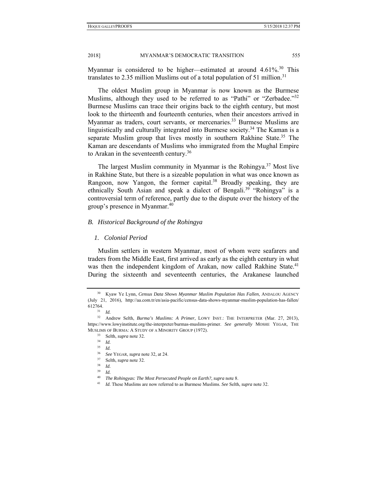Myanmar is considered to be higher—estimated at around 4.61%.<sup>30</sup> This translates to 2.35 million Muslims out of a total population of 51 million.<sup>31</sup>

The oldest Muslim group in Myanmar is now known as the Burmese Muslims, although they used to be referred to as "Pathi" or "Zerbadee."<sup>32</sup> Burmese Muslims can trace their origins back to the eighth century, but most look to the thirteenth and fourteenth centuries, when their ancestors arrived in Myanmar as traders, court servants, or mercenaries.<sup>33</sup> Burmese Muslims are linguistically and culturally integrated into Burmese society.<sup>34</sup> The Kaman is a separate Muslim group that lives mostly in southern Rakhine State.<sup>35</sup> The Kaman are descendants of Muslims who immigrated from the Mughal Empire to Arakan in the seventeenth century.36

The largest Muslim community in Myanmar is the Rohingya.<sup>37</sup> Most live in Rakhine State, but there is a sizeable population in what was once known as Rangoon, now Yangon, the former capital.<sup>38</sup> Broadly speaking, they are ethnically South Asian and speak a dialect of Bengali.<sup>39</sup> "Rohingya" is a controversial term of reference, partly due to the dispute over the history of the group's presence in Myanmar.<sup>40</sup>

#### *B. Historical Background of the Rohingya*

#### *1. Colonial Period*

Muslim settlers in western Myanmar, most of whom were seafarers and traders from the Middle East, first arrived as early as the eighth century in what was then the independent kingdom of Arakan, now called Rakhine State.<sup>41</sup> During the sixteenth and seventeenth centuries, the Arakanese launched

<sup>30</sup> Kyaw Ye Lynn, *Census Data Shows Myanmar Muslim Population Has Fallen*, ANDALOU AGENCY (July 21, 2016), http://aa.com.tr/en/asia-pacific/census-data-shows-myanmar-muslim-population-has-fallen/ 612764. 31 *Id.* 32 Andrew Selth, *Burma's Muslims: A Primer*, LOWY INST.: THE INTERPRETER (Mar. 27, 2013),

https://www.lowyinstitute.org/the-interpreter/burmas-muslims-primer. *See generally* MOSHE YEGAR, THE MUSLIMS OF BURMA: A STUDY OF A MINORITY GROUP (1972).<br><sup>33</sup> Selth, *supra* note 32.<br><sup>34</sup> *Id* 

<sup>35</sup> *Id.*

<sup>36</sup> *See* YEGAR, *supra* note 32, at 24. 37 Selth, *supra* note 32. 38 *Id.*

 $\frac{39}{40}$  *Id.* 

<sup>40</sup> *The Rohingyas: The Most Persecuted People on Earth?*, *supra* note 8. 41 *Id.* These Muslims are now referred to as Burmese Muslims. *See* Selth, *supra* note 32.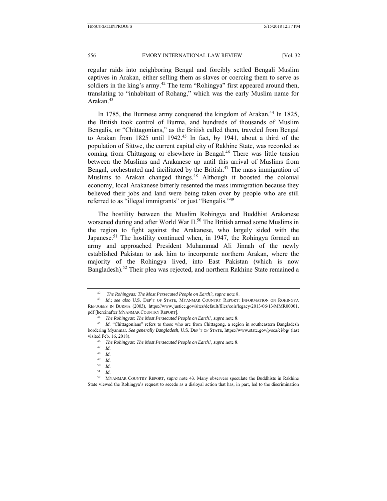regular raids into neighboring Bengal and forcibly settled Bengali Muslim captives in Arakan, either selling them as slaves or coercing them to serve as soldiers in the king's army.<sup>42</sup> The term "Rohingya" first appeared around then, translating to "inhabitant of Rohang," which was the early Muslim name for Arakan.43

In 1785, the Burmese army conquered the kingdom of Arakan.<sup>44</sup> In 1825, the British took control of Burma, and hundreds of thousands of Muslim Bengalis, or "Chittagonians," as the British called them, traveled from Bengal to Arakan from 1825 until 1942.<sup>45</sup> In fact, by 1941, about a third of the population of Sittwe, the current capital city of Rakhine State, was recorded as coming from Chittagong or elsewhere in Bengal.<sup>46</sup> There was little tension between the Muslims and Arakanese up until this arrival of Muslims from Bengal, orchestrated and facilitated by the British.<sup>47</sup> The mass immigration of Muslims to Arakan changed things.<sup>48</sup> Although it boosted the colonial economy, local Arakanese bitterly resented the mass immigration because they believed their jobs and land were being taken over by people who are still referred to as "illegal immigrants" or just "Bengalis."<sup>49</sup>

The hostility between the Muslim Rohingya and Buddhist Arakanese worsened during and after World War II.<sup>50</sup> The British armed some Muslims in the region to fight against the Arakanese, who largely sided with the Japanese.<sup>51</sup> The hostility continued when, in 1947, the Rohingya formed an army and approached President Muhammad Ali Jinnah of the newly established Pakistan to ask him to incorporate northern Arakan, where the majority of the Rohingya lived, into East Pakistan (which is now Bangladesh).<sup>52</sup> Their plea was rejected, and northern Rakhine State remained a

<sup>42</sup> *The Rohingyas: The Most Persecuted People on Earth?*, *supra* note 8. 43 *Id.*; *see also* U.S. DEP'T OF STATE, MYANMAR COUNTRY REPORT: INFORMATION ON ROHINGYA REFUGEES IN BURMA (2003), https://www.justice.gov/sites/default/files/eoir/legacy/2013/06/13/MMR00001.

pdf [hereinafter MYANMAR COUNTRY REPORT].<br><sup>44</sup> *The Rohingyas: The Most Persecuted People on Earth?, supra* note 8.<br><sup>45</sup> *Id.* "Chittagonians" refers to those who are from Chittagong, a region in southeastern Bangladesh bordering Myanmar. *See generally Bangladesh*, U.S. DEP'T OF STATE, https://www.state.gov/p/sca/ci/bg/ (last visited Feb. 16, 2018). 46 *The Rohingyas: The Most Persecuted People on Earth?*, *supra* note 8.

 $\frac{47}{48}$  *Id.* 

 $\frac{48}{49}$  *Id.* 

*Id.* 

 $\begin{bmatrix} 50 & Id. \\ 51 & Id. \end{bmatrix}$ 

 $\frac{51}{52}$  *Id.* 

<sup>52</sup> MYANMAR COUNTRY REPORT, *supra* note 43. Many observers speculate the Buddhists in Rakhine State viewed the Rohingya's request to secede as a disloyal action that has, in part, led to the discrimination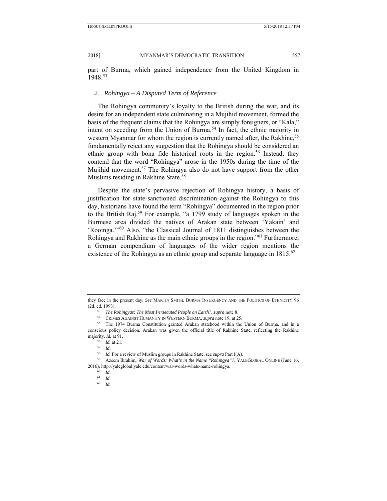part of Burma, which gained independence from the United Kingdom in 1948.53

#### *2. Rohingya – A Disputed Term of Reference*

The Rohingya community's loyalty to the British during the war, and its desire for an independent state culminating in a Mujihid movement, formed the basis of the frequent claims that the Rohingya are simply foreigners, or "Kala," intent on seceding from the Union of Burma.<sup>54</sup> In fact, the ethnic majority in western Myanmar for whom the region is currently named after, the Rakhine,<sup>55</sup> fundamentally reject any suggestion that the Rohingya should be considered an ethnic group with bona fide historical roots in the region.<sup>56</sup> Instead, they contend that the word "Rohingya" arose in the 1950s during the time of the Mujihid movement.<sup>57</sup> The Rohingya also do not have support from the other Muslims residing in Rakhine State.<sup>58</sup>

Despite the state's pervasive rejection of Rohingya history, a basis of justification for state-sanctioned discrimination against the Rohingya to this day, historians have found the term "Rohingya" documented in the region prior to the British Raj.59 For example, "a 1799 study of languages spoken in the Burmese area divided the natives of Arakan state between 'Yakain' and 'Rooinga.'"60 Also, "the Classical Journal of 1811 distinguishes between the Rohingya and Rakhine as the main ethnic groups in the region.<sup>"61</sup> Furthermore, a German compendium of languages of the wider region mentions the existence of the Rohingya as an ethnic group and separate language in  $1815^{62}$ 

<sup>62</sup> *Id.*

they face in the present day. *See* MARTIN SMITH, BURMA INSURGENCY AND THE POLITICS OF ETHNICITY 96 (2d. ed. 1993).<br><sup>53</sup> The Rohingyas: The Most Persecuted People on Earth?, supra note 8.<br><sup>54</sup> CRIMES AGAINST HUMANITY IN WESTERN BURMA, *supra* note 19, at 25.<br><sup>55</sup> The 1974 Burma Constitution granted Arakan statehood with

conscious policy decision, Arakan was given the official title of Rakhine State, reflecting the Rakhine majority. *Id.* at 91.<br>
<sup>56</sup> *Id.* at 21.<br>
<sup>57</sup> *Id.*<br>
<sup>58</sup> *Id.* For a review of Muslim groups in Rakhine State, see *supra* Part I(A).

<sup>&</sup>lt;sup>59</sup> Azeem Ibrahim, *War of Words: What's in the Name "Rohingya"?*, YALEGLOBAL ONLINE (June 16, 2016), http://yaleglobal.yale.edu/content/war-words-whats-name-rohingya. 60 *Id.*

<sup>61</sup> *Id.*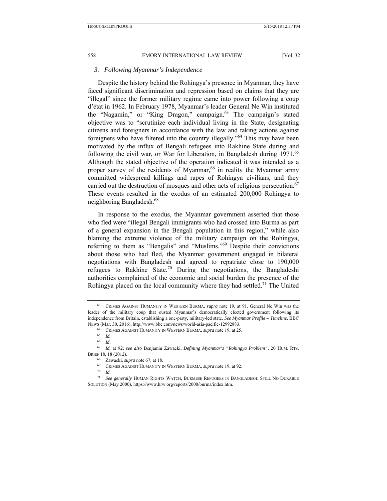## *3. Following Myanmar's Independence*

Despite the history behind the Rohingya's presence in Myanmar, they have faced significant discrimination and repression based on claims that they are "illegal" since the former military regime came into power following a coup d'état in 1962. In February 1978, Myanmar's leader General Ne Win instituted the "Nagamin," or "King Dragon," campaign.<sup>63</sup> The campaign's stated objective was to "scrutinize each individual living in the State, designating citizens and foreigners in accordance with the law and taking actions against foreigners who have filtered into the country illegally."<sup>64</sup> This may have been motivated by the influx of Bengali refugees into Rakhine State during and following the civil war, or War for Liberation, in Bangladesh during 1971.<sup>65</sup> Although the stated objective of the operation indicated it was intended as a proper survey of the residents of Myanmar,  $66$  in reality the Myanmar army committed widespread killings and rapes of Rohingya civilians, and they carried out the destruction of mosques and other acts of religious persecution.<sup>67</sup> These events resulted in the exodus of an estimated 200,000 Rohingya to neighboring Bangladesh.68

In response to the exodus, the Myanmar government asserted that those who fled were "illegal Bengali immigrants who had crossed into Burma as part of a general expansion in the Bengali population in this region," while also blaming the extreme violence of the military campaign on the Rohingya, referring to them as "Bengalis" and "Muslims."69 Despite their convictions about those who had fled, the Myanmar government engaged in bilateral negotiations with Bangladesh and agreed to repatriate close to 190,000 refugees to Rakhine State.<sup>70</sup> During the negotiations, the Bangladeshi authorities complained of the economic and social burden the presence of the Rohingya placed on the local community where they had settled.<sup>71</sup> The United

<sup>63</sup> CRIMES AGAINST HUMANITY IN WESTERN BURMA*, supra* note 19, at 91. General Ne Win was the leader of the military coup that ousted Myanmar's democratically elected government following its independence from Britain, establishing a one-party, military-led state. *See Myanmar Profile – Timeline*, BBC

NEWS (Mar. 30, 2016), http://www.bbc.com/news/world-asia-pacific-12992883. 64 CRIMES AGAINST HUMANITY IN WESTERN BURMA*, supra* note 19, at 25. 65 *Id.* 

<sup>66</sup> *Id.*

<sup>67</sup> *Id.* at 92; *see also* Benjamin Zawacki, *Defining Myanmar's "Rohingya Problem"*, 20 HUM. RTS. BRIEF 18, 18 (2012).

<sup>68</sup> Zawacki, *supra* note 67, at 18.<br><sup>69</sup> CRIMES AGAINST HUMANITY IN WESTERN BURMA, *supra* note 19, at 92.<br><sup>70</sup> *Id.*<br><sup>71</sup> See generally HUMAN RIGHTS WATCH. BURMESE REFUGEES IN BANG

<sup>71</sup> *See generally* HUMAN RIGHTS WATCH, BURMESE REFUGEES IN BANGLADESH: STILL NO DURABLE SOLUTION (May 2000), https://www.hrw.org/reports/2000/burma/index.htm.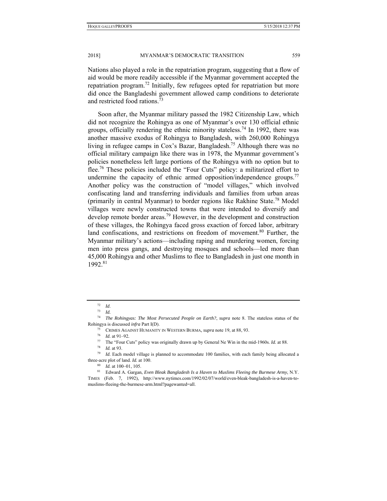Nations also played a role in the repatriation program, suggesting that a flow of aid would be more readily accessible if the Myanmar government accepted the repatriation program.<sup>72</sup> Initially, few refugees opted for repatriation but more did once the Bangladeshi government allowed camp conditions to deteriorate and restricted food rations.<sup>73</sup>

Soon after, the Myanmar military passed the 1982 Citizenship Law, which did not recognize the Rohingya as one of Myanmar's over 130 official ethnic groups, officially rendering the ethnic minority stateless.<sup>74</sup> In 1992, there was another massive exodus of Rohingya to Bangladesh, with 260,000 Rohingya living in refugee camps in Cox's Bazar, Bangladesh.<sup>75</sup> Although there was no official military campaign like there was in 1978, the Myanmar government's policies nonetheless left large portions of the Rohingya with no option but to flee.<sup>76</sup> These policies included the "Four Cuts" policy: a militarized effort to undermine the capacity of ethnic armed opposition/independence groups.<sup>77</sup> Another policy was the construction of "model villages," which involved confiscating land and transferring individuals and families from urban areas (primarily in central Myanmar) to border regions like Rakhine State.<sup>78</sup> Model villages were newly constructed towns that were intended to diversify and develop remote border areas.<sup>79</sup> However, in the development and construction of these villages, the Rohingya faced gross exaction of forced labor, arbitrary land confiscations, and restrictions on freedom of movement. $80$  Further, the Myanmar military's actions—including raping and murdering women, forcing men into press gangs, and destroying mosques and schools—led more than 45,000 Rohingya and other Muslims to flee to Bangladesh in just one month in 1992.81

<sup>72</sup> *Id*. 73 *Id.*

<sup>74</sup> *The Rohingyas: The Most Persecuted People on Earth?*, *supra* note 8. The stateless status of the Rohingya is discussed *infra* Part I(D).<br><sup>75</sup> CRIMES AGAINST HUMANITY IN WESTERN BURMA, *supra* note 19, at 88, 93.<br><sup>76</sup> *Id.* at 91–92.<br><sup>77</sup> The "Four Cuts" policy was originally drawn up by General Ne Win in the mid-1960

 $1/3$  *Id.* at 93.<br><sup>79</sup> *Id.* Each model village is planned to accommodate 100 families, with each family being allocated a three-acre plot of land. *Id.* at 100.<br><sup>80</sup> *Id.* at 100–01, 105.<br><sup>81</sup> Edward A. Gargan, *Even Bleak Bangladesh Is a Haven to Muslims Fleeing the Burmese Army*, N.Y.

TIMES (Feb. 7, 1992), http://www.nytimes.com/1992/02/07/world/even-bleak-bangladesh-is-a-haven-tomuslims-fleeing-the-burmese-arm.html?pagewanted=all.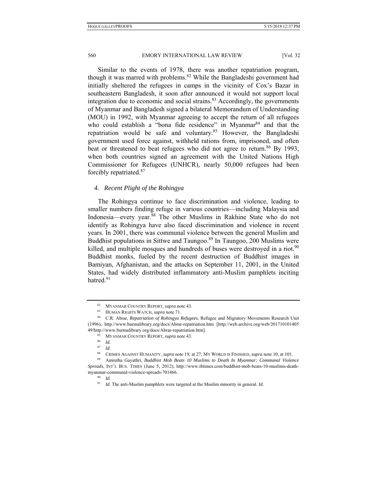Similar to the events of 1978, there was another repatriation program, though it was marred with problems.<sup>82</sup> While the Bangladeshi government had initially sheltered the refugees in camps in the vicinity of Cox's Bazar in southeastern Bangladesh, it soon after announced it would not support local integration due to economic and social strains. $83$  Accordingly, the governments of Myanmar and Bangladesh signed a bilateral Memorandum of Understanding (MOU) in 1992, with Myanmar agreeing to accept the return of all refugees who could establish a "bona fide residence" in Myanmar<sup>84</sup> and that the repatriation would be safe and voluntary.85 However, the Bangladeshi government used force against, withheld rations from, imprisoned, and often beat or threatened to beat refugees who did not agree to return.<sup>86</sup> By 1993, when both countries signed an agreement with the United Nations High Commissioner for Refugees (UNHCR), nearly 50,000 refugees had been forcibly repatriated.<sup>87</sup>

### *4. Recent Plight of the Rohingya*

The Rohingya continue to face discrimination and violence, leading to smaller numbers finding refuge in various countries—including Malaysia and Indonesia—every year.<sup>88</sup> The other Muslims in Rakhine State who do not identify as Rohingya have also faced discrimination and violence in recent years. In 2001, there was communal violence between the general Muslim and Buddhist populations in Sittwe and Taungoo.<sup>89</sup> In Taungoo, 200 Muslims were killed, and multiple mosques and hundreds of buses were destroyed in a riot.<sup>90</sup> Buddhist monks, fueled by the recent destruction of Buddhist images in Bamiyan, Afghanistan, and the attacks on September 11, 2001, in the United States, had widely distributed inflammatory anti-Muslim pamphlets inciting hatred<sup>91</sup>

<sup>82</sup> MYANMAR COUNTRY REPORT, *supra* note 43.<br>83 HUMAN RIGHTS WATCH, *supra* note 71.<br>84 C.R. Abrar, *Repatriation of Rohingya Refugees*, Refugee and Migratory Movements Research Unit (1996), http://www.burmalibrary.org/docs/Abrar-repatriation.htm [http://web.archive.org/web/201710101405 49/http://www.burmalibrary.org/docs/Abrar-repatriation.htm]. 85 MYANMAR COUNTRY REPORT, *supra* note 43. 86 *Id.*

<sup>87</sup> *Id.*

<sup>88</sup> CRIMES AGAINST HUMANITY, *supra* note 19, at 27; MY WORLD IS FINISHED, *supra* note 10, at 101*.*

<sup>89</sup> Amrutha Gayathri, *Buddhist Mob Beats 10 Muslims to Death In Myanmar; Communal Violence Spreads*, INT'L BUS. TIMES (June 5, 2012), http://www.ibtimes.com/buddhist-mob-beats-10-muslims-deathmyanmar-communal-violence-spreads-701466.<br><sup>90</sup> *Id.* 

<sup>91</sup> *Id.* The anti-Muslim pamphlets were targeted at the Muslim minority in general. *Id.*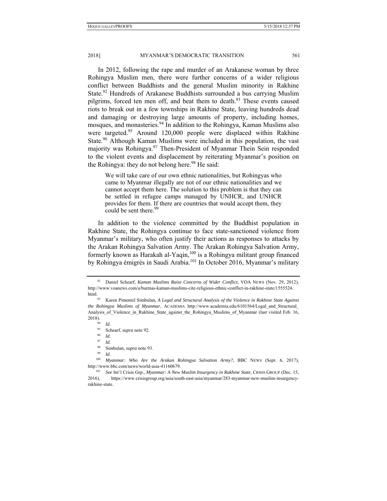In 2012, following the rape and murder of an Arakanese woman by three Rohingya Muslim men, there were further concerns of a wider religious conflict between Buddhists and the general Muslim minority in Rakhine State.<sup>92</sup> Hundreds of Arakanese Buddhists surrounded a bus carrying Muslim pilgrims, forced ten men off, and beat them to death.<sup>93</sup> These events caused riots to break out in a few townships in Rakhine State, leaving hundreds dead and damaging or destroying large amounts of property, including homes, mosques, and monasteries.<sup>94</sup> In addition to the Rohingya, Kaman Muslims also were targeted.<sup>95</sup> Around 120,000 people were displaced within Rakhine State.<sup>96</sup> Although Kaman Muslims were included in this population, the vast majority was Rohingya.<sup>97</sup> Then-President of Myanmar Thein Sein responded to the violent events and displacement by reiterating Myanmar's position on the Rohingya: they do not belong here.<sup>98</sup> He said:

We will take care of our own ethnic nationalities, but Rohingyas who came to Myanmar illegally are not of our ethnic nationalities and we cannot accept them here. The solution to this problem is that they can be settled in refugee camps managed by UNHCR, and UNHCR provides for them. If there are countries that would accept them, they could be sent there.<sup>99</sup>

In addition to the violence committed by the Buddhist population in Rakhine State, the Rohingya continue to face state-sanctioned violence from Myanmar's military, who often justify their actions as responses to attacks by the Arakan Rohingya Salvation Army. The Arakan Rohingya Salvation Army, formerly known as Harakah al-Yaqin,<sup>100</sup> is a Rohingya militant group financed by Rohingya émigrés in Saudi Arabia.<sup>101</sup> In October 2016, Myanmar's military

<sup>92</sup> Daniel Schearf, *Kaman Muslims Raise Concerns of Wider Conflict*, VOA NEWS (Nov. 29, 2012), http://www.voanews.com/a/burmas-kaman-muslims-cite-religious-ethnic-conflict-in-rakhine-state/1555524.

html. 93 Karen Pimentel Simbulan, *A Legal and Structural Analysis of the Violence in Rakhine State Against the Rohingya Muslims of Myanmar*, ACADEMIA http://www.academia.edu/6101564/Legal\_and\_Structural\_ Analysis\_of\_Violence\_in\_Rakhine\_State\_against\_the\_Rohingya\_Muslims\_of\_Myanmar (last visited Feb. 16, 2018).<br> $^{94}$  *Id.*<br> $^{95}$  So

<sup>95</sup> Schearf, *supra* note 92. 96 *Id.*

<sup>97</sup> *Id.*

<sup>98</sup> Simbulan, *supra* note 93. 99 *Id.*

<sup>100</sup> *Myanmar: Who Are the Arakan Rohingya Salvation Army?*, BBC NEWS (Sept. 6, 2017), http://www.bbc.com/news/world-asia-41160679. 101 *See* Int'l Crisis Grp., *Myanmar: A New Muslim Insurgency in Rakhine State*, CRISIS GROUP (Dec. 15,

<sup>2016),</sup> https://www.crisisgroup.org/asia/south-east-asia/myanmar/283-myanmar-new-muslim-insurgencyrakhine-state.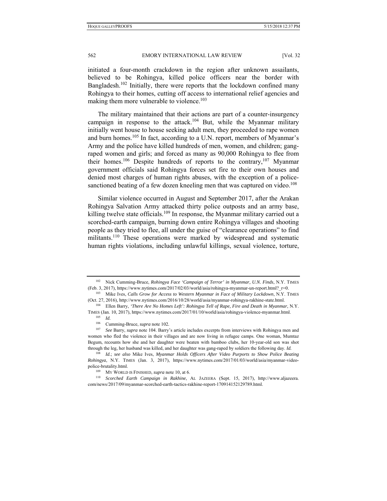initiated a four-month crackdown in the region after unknown assailants, believed to be Rohingya, killed police officers near the border with Bangladesh.<sup>102</sup> Initially, there were reports that the lockdown confined many Rohingya to their homes, cutting off access to international relief agencies and making them more vulnerable to violence.<sup>103</sup>

The military maintained that their actions are part of a counter-insurgency campaign in response to the attack.<sup>104</sup> But, while the Myanmar military initially went house to house seeking adult men, they proceeded to rape women and burn homes.<sup>105</sup> In fact, according to a U.N. report, members of Myanmar's Army and the police have killed hundreds of men, women, and children; gangraped women and girls; and forced as many as 90,000 Rohingya to flee from their homes.<sup>106</sup> Despite hundreds of reports to the contrary,<sup>107</sup> Myanmar government officials said Rohingya forces set fire to their own houses and denied most charges of human rights abuses, with the exception of a policesanctioned beating of a few dozen kneeling men that was captured on video.<sup>108</sup>

Similar violence occurred in August and September 2017, after the Arakan Rohingya Salvation Army attacked thirty police outposts and an army base, killing twelve state officials.<sup>109</sup> In response, the Myanmar military carried out a scorched-earth campaign, burning down entire Rohingya villages and shooting people as they tried to flee, all under the guise of "clearance operations" to find militants.<sup>110</sup> These operations were marked by widespread and systematic human rights violations, including unlawful killings, sexual violence, torture,

<sup>102</sup> Nick Cumming-Bruce, *Rohingya Face 'Campaign of Terror' in Myanmar, U.N. Finds*, N.Y. TIMES (Feb. 3, 2017), https://www.nytimes.com/2017/02/03/world/asia/rohingya-myanmar-un-report.html?\_r=0. 103 Mike Ives, *Calls Grow for Access to Western Myanmar in Face of Military Lockdown*, N.Y. TIMES

<sup>(</sup>Oct. 27, 2016), http://www.nytimes.com/2016/10/28/world/asia/myanmar-rohingya-rakhine-state.html. 104 Ellen Barry, *'There Are No Homes Left': Rohingya Tell of Rape, Fire and Death in Myanmar*, N.Y.

TIMES (Jan. 10, 2017), https://www.nytimes.com/2017/01/10/world/asia/rohingya-violence-myanmar.html.<br><sup>105</sup> *Id.*<br><sup>106</sup> Cumming-Bruce-sunga pote 102

<sup>&</sup>lt;sup>106</sup> Cumming-Bruce, *supra* note 102.<br><sup>107</sup> *See* Barry, *supra* note 104. Barry's article includes excerpts from interviews with Rohingya men and women who fled the violence in their villages and are now living in refugee camps. One woman, Mumtaz Begum, recounts how she and her daughter were beaten with bamboo clubs, her 10-year-old son was shot through the leg, her husband was killed, and her daughter was gang-raped by soldiers the following day. *Id.*

<sup>108</sup> *Id.*; *see also* Mike Ives, *Myanmar Holds Officers After Video Purports to Show Police Beating Rohingya*, N.Y. TIMES (Jan. 3, 2017), https://www.nytimes.com/2017/01/03/world/asia/myanmar-videopolice-brutality.html. 109 MY WORLD IS FINISHED, *supra* note 10, at 6. 110 *Scorched Earth Campaign in Rakhine*, AL JAZEERA (Sept. 15, 2017), http://www.aljazeera.

com/news/2017/09/myanmar-scorched-earth-tactics-rakhine-report-170914152129789.html.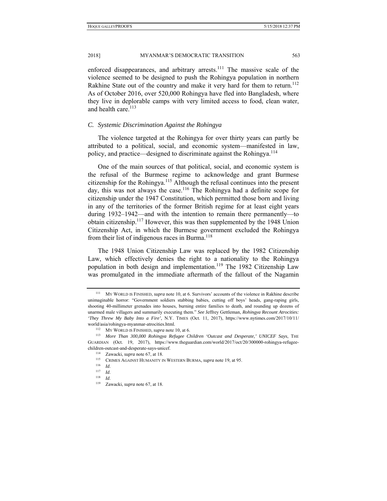enforced disappearances, and arbitrary arrests.<sup>111</sup> The massive scale of the violence seemed to be designed to push the Rohingya population in northern Rakhine State out of the country and make it very hard for them to return.<sup>112</sup> As of October 2016, over 520,000 Rohingya have fled into Bangladesh, where they live in deplorable camps with very limited access to food, clean water, and health care.<sup>113</sup>

#### *C. Systemic Discrimination Against the Rohingya*

The violence targeted at the Rohingya for over thirty years can partly be attributed to a political, social, and economic system—manifested in law, policy, and practice—designed to discriminate against the Rohingya.<sup>114</sup>

One of the main sources of that political, social, and economic system is the refusal of the Burmese regime to acknowledge and grant Burmese citizenship for the Rohingya.<sup>115</sup> Although the refusal continues into the present day, this was not always the case.<sup>116</sup> The Rohingya had a definite scope for citizenship under the 1947 Constitution, which permitted those born and living in any of the territories of the former British regime for at least eight years during 1932–1942—and with the intention to remain there permanently—to obtain citizenship.117 However, this was then supplemented by the 1948 Union Citizenship Act, in which the Burmese government excluded the Rohingya from their list of indigenous races in Burma.<sup>118</sup>

The 1948 Union Citizenship Law was replaced by the 1982 Citizenship Law, which effectively denies the right to a nationality to the Rohingya population in both design and implementation.<sup>119</sup> The 1982 Citizenship Law was promulgated in the immediate aftermath of the fallout of the Nagamin

<sup>111</sup> MY WORLD IS FINISHED, *supra* note 10, at 6. Survivors' accounts of the violence in Rakhine describe unimaginable horror: "Government soldiers stabbing babies, cutting off boys' heads, gang-raping girls, shooting 40-millimeter grenades into houses, burning entire families to death, and rounding up dozens of unarmed male villagers and summarily executing them." *See* Jeffrey Gettleman, *Rohingya Recount Atrocities: 'They Threw My Baby Into a Fire'*, N.Y. TIMES (Oct. 11, 2017), https://www.nytimes.com/2017/10/11/ world/asia/rohingya-myanmar-atrocities.html.<br><sup>112</sup> MY WORLD IS FINISHED, *supra* note 10, at 6.<br><sup>113</sup> *More Than 300,000 Rohingya Refugee Children 'Outcast and Desperate,' UNICEF Says*, THE

GUARDIAN (Oct. 19, 2017), https://www.theguardian.com/world/2017/oct/20/300000-rohingya-refugeechildren-outcast-and-desperate-says-unicef.<br>
<sup>114</sup> Zawacki, *supra* note 67, at 18.<br>
<sup>115</sup> CRIMES AGAINST HUMANITY IN WESTERN BURMA, *supra* note 19, at 95.<br>
<sup>116</sup> *Id.* 

<sup>117</sup> *Id*. 118 *Id*. 119 Zawacki, *supra* note 67, at 18.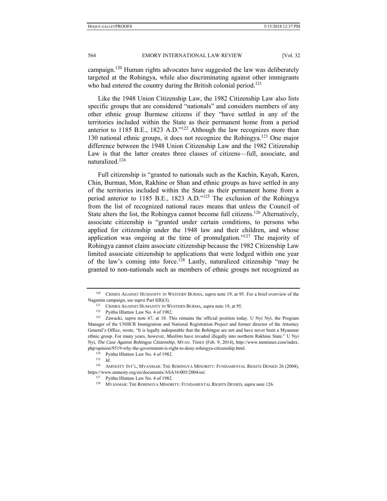campaign.<sup>120</sup> Human rights advocates have suggested the law was deliberately targeted at the Rohingya, while also discriminating against other immigrants who had entered the country during the British colonial period.<sup>121</sup>

Like the 1948 Union Citizenship Law, the 1982 Citizenship Law also lists specific groups that are considered "nationals" and considers members of any other ethnic group Burmese citizens if they "have settled in any of the territories included within the State as their permanent home from a period anterior to 1185 B.E., 1823 A.D."122 Although the law recognizes more than 130 national ethnic groups, it does not recognize the Rohingya.<sup>123</sup> One major difference between the 1948 Union Citizenship Law and the 1982 Citizenship Law is that the latter creates three classes of citizens—full, associate, and naturalized.124

Full citizenship is "granted to nationals such as the Kachin, Kayah, Karen, Chin, Burman, Mon, Rakhine or Shan and ethnic groups as have settled in any of the territories included within the State as their permanent home from a period anterior to 1185 B.E., 1823 A.D."125 The exclusion of the Rohingya from the list of recognized national races means that unless the Council of State alters the list, the Rohingya cannot become full citizens.<sup>126</sup> Alternatively, associate citizenship is "granted under certain conditions, to persons who applied for citizenship under the 1948 law and their children, and whose application was ongoing at the time of promulgation."<sup>127</sup> The majority of Rohingya cannot claim associate citizenship because the 1982 Citizenship Law limited associate citizenship to applications that were lodged within one year of the law's coming into force.<sup>128</sup> Lastly, naturalized citizenship "may be granted to non-nationals such as members of ethnic groups not recognized as

<sup>120</sup> CRIMES AGAINST HUMANITY IN WESTERN BURMA, *supra* note 19, at 95. For a brief overview of the Nagamin campaign, see *supra* Part I(B)(3).<br><sup>121</sup> CRIMES AGAINST HUMANITY IN WESTERN BURMA, *supra* note 19, at 95.<br><sup>122</sup> Pyithu Hluttaw Law No. 4 of 1982.<br><sup>123</sup> Zawacki, *supra* note 67, at 18. This remains the official p

Manager of the UNHCR Immigration and National Registration Project and former director of the Attorney General's Office, wrote, "It is legally indisputable that the *Rohingya* are not and have never been a Myanmar ethnic group. For many years, however, *Muslims* have invaded illegally into northern Rakhine State." U Nyi Nyi, *The Case Against Rohingya Citizenship*, MYAN. TIMES (Feb. 9, 2014), http://www.mmtimes.com/index. php/opinion/9519-why-the-government-is-right-to-deny-rohingya-citizenship.html. 124 Pyithu Hluttaw Law No. 4 of 1982. 125 *Id.*

<sup>126</sup> AMNESTY INT'L, MYANMAR: THE ROHINGYA MINORITY: FUNDAMENTAL RIGHTS DENIED 26 (2004), https://www.amnesty.org/en/documents/ASA16/005/2004/en/.<br><sup>127</sup> Pyithu Hluttaw Law No. 4 of 1982.<br><sup>128</sup> MYANMAR: THE ROHINGYA MINORITY: FUNDAMENTAL RIGHTS DENIED, *supra* note 126.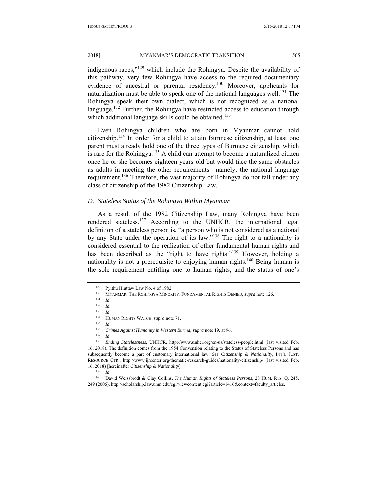indigenous races," $129$  which include the Rohingya. Despite the availability of this pathway, very few Rohingya have access to the required documentary evidence of ancestral or parental residency.130 Moreover, applicants for naturalization must be able to speak one of the national languages well.<sup>131</sup> The Rohingya speak their own dialect, which is not recognized as a national language.<sup>132</sup> Further, the Rohingya have restricted access to education through which additional language skills could be obtained.<sup>133</sup>

Even Rohingya children who are born in Myanmar cannot hold citizenship.134 In order for a child to attain Burmese citizenship, at least one parent must already hold one of the three types of Burmese citizenship, which is rare for the Rohingya.<sup>135</sup> A child can attempt to become a naturalized citizen once he or she becomes eighteen years old but would face the same obstacles as adults in meeting the other requirements—namely, the national language requirement.136 Therefore, the vast majority of Rohingya do not fall under any class of citizenship of the 1982 Citizenship Law.

#### *D. Stateless Status of the Rohingya Within Myanmar*

As a result of the 1982 Citizenship Law, many Rohingya have been rendered stateless.<sup>137</sup> According to the UNHCR, the international legal definition of a stateless person is, "a person who is not considered as a national by any State under the operation of its law."138 The right to a nationality is considered essential to the realization of other fundamental human rights and has been described as the "right to have rights."<sup>139</sup> However, holding a nationality is not a prerequisite to enjoying human rights.<sup>140</sup> Being human is the sole requirement entitling one to human rights, and the status of one's

<sup>129</sup> Pyithu Hluttaw Law No. 4 of 1982. 130 MYANMAR: THE ROHINGYA MINORITY: FUNDAMENTAL RIGHTS DENIED, *supra* note 126. 131 *Id*. 132 *Id.*

<sup>133</sup> Id.<br>
134 HUMAN RIGHTS WATCH, *supra* note 71.<br>
135 Id.<br> *Crimes Against Humanity in Western Burma, supra* note 19, at 96.<br>
137 Id.<br> *Ending Statelessness*, UNHCR, http://www.unhcr.org/en-us/stateless-people.html (last 16, 2018). The definition comes from the 1954 Convention relating to the Status of Stateless Persons and has subsequently become a part of customary international law. *See Citizenship & Nationality*, INT'L JUST. RESOURCE CTR., http://www.ijrcenter.org/thematic-research-guides/nationality-citizenship/ (last visited Feb.

<sup>16, 2018) [</sup>hereinafter *Citizenship & Nationality*]. 139 *Id*. 140 David Weissbrodt & Clay Collins, *The Human Rights of Stateless Persons*, 28 HUM. RTS. Q. 245, 249 (2006), http://scholarship.law.umn.edu/cgi/viewcontent.cgi?article=1416&context=faculty\_articles.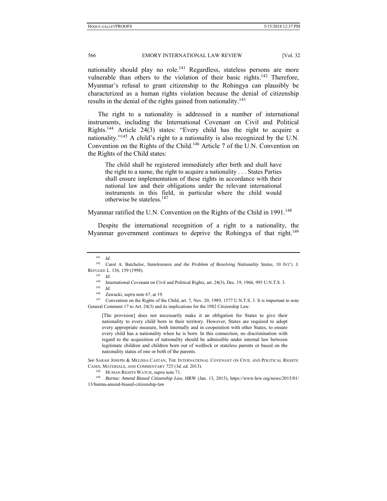nationality should play no role.<sup>141</sup> Regardless, stateless persons are more vulnerable than others to the violation of their basic rights.<sup>142</sup> Therefore, Myanmar's refusal to grant citizenship to the Rohingya can plausibly be characterized as a human rights violation because the denial of citizenship results in the denial of the rights gained from nationality.<sup>143</sup>

The right to a nationality is addressed in a number of international instruments, including the International Covenant on Civil and Political Rights.144 Article 24(3) states: "Every child has the right to acquire a nationality."145 A child's right to a nationality is also recognized by the U.N. Convention on the Rights of the Child.146 Article 7 of the U.N. Convention on the Rights of the Child states:

The child shall be registered immediately after birth and shall have the right to a name, the right to acquire a nationality . . . States Parties shall ensure implementation of these rights in accordance with their national law and their obligations under the relevant international instruments in this field, in particular where the child would otherwise be stateless.147

Myanmar ratified the U.N. Convention on the Rights of the Child in 1991.<sup>148</sup>

Despite the international recognition of a right to a nationality, the Myanmar government continues to deprive the Rohingya of that right.<sup>149</sup>

[The provision] does not necessarily make it an obligation for States to give their nationality to every child born in their territory. However, States are required to adopt every appropriate measure, both internally and in cooperation with other States, to ensure every child has a nationality when he is born. In this connection, no discrimination with regard to the acquisition of nationality should be admissible under internal law between legitimate children and children born out of wedlock or stateless parents or based on the nationality status of one or both of the parents.

*See* SARAH JOSEPH & MELISSA CASTAN, THE INTERNATIONAL COVENANT ON CIVIL AND POLITICAL RIGHTS:

CASES, MATERIALS, AND COMMENTARY 725 (3d. ed. 2013). 148 HUMAN RIGHTS WATCH, *supra* note 71. 149 *Burma: Amend Biased Citizenship Law*, HRW (Jan. 13, 2015), https://www.hrw.org/news/2015/01/ 13/burma-amend-biased-citizenship-law

<sup>141</sup> *Id*. 142 Carol A. Batchelor, *Statelessness and the Problem of Resolving Nationality Status*, 10 INT'L J.

REFUGEE L. 156, 159 (1998).<br>
<sup>143</sup> *Id.*<br>
<sup>144</sup> International Covenant on Civil and Political Rights, art. 24(3), Dec. 19, 1966, 993 U.N.T.S. 3.<br>
<sup>145</sup> *Id.*<br>
<sup>246</sup> Zawacki, *supra* note 67, at 19.<br>
<sup>146</sup> Convention on th General Comment 17 to Art. 24(3) and its implications for the 1982 Citizenship Law: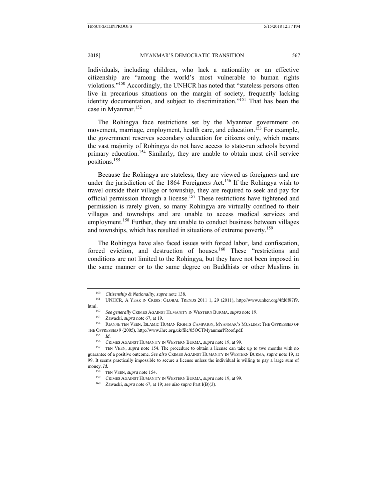Individuals, including children, who lack a nationality or an effective citizenship are "among the world's most vulnerable to human rights violations."150 Accordingly, the UNHCR has noted that "stateless persons often live in precarious situations on the margin of society, frequently lacking identity documentation, and subject to discrimination."<sup>151</sup> That has been the case in Myanmar.152

The Rohingya face restrictions set by the Myanmar government on movement, marriage, employment, health care, and education.<sup>153</sup> For example, the government reserves secondary education for citizens only, which means the vast majority of Rohingya do not have access to state-run schools beyond primary education.<sup>154</sup> Similarly, they are unable to obtain most civil service positions.155

Because the Rohingya are stateless, they are viewed as foreigners and are under the jurisdiction of the 1864 Foreigners Act.<sup>156</sup> If the Rohingya wish to travel outside their village or township, they are required to seek and pay for official permission through a license.<sup>157</sup> These restrictions have tightened and permission is rarely given, so many Rohingya are virtually confined to their villages and townships and are unable to access medical services and employment.<sup>158</sup> Further, they are unable to conduct business between villages and townships, which has resulted in situations of extreme poverty.<sup>159</sup>

The Rohingya have also faced issues with forced labor, land confiscation, forced eviction, and destruction of houses.<sup>160</sup> These "restrictions and conditions are not limited to the Rohingya, but they have not been imposed in the same manner or to the same degree on Buddhists or other Muslims in

<sup>&</sup>lt;sup>150</sup> *Citizenship & Nationality*, *supra* note 138.<br><sup>151</sup> UNHCR, A YEAR IN CRISIS: GLOBAL TRENDS 2011 1, 29 (2011), http://www.unhcr.org/4fd6f87f9.

html.<br><sup>152</sup> *See generally* CRIMES AGAINST HUMANITY IN WESTERN BURMA, *supra* note 19.<br><sup>154</sup> Zawacki, *supra* note 67, at 19.<br><sup>154</sup> RIANNE TEN VEEN, ISLAMIC HUMAN RIGHTS CAMPAIGN, MYANMAR'S MUSLIMS: THE OPPRESSED OF THE OPPRESSED 9 (2005), http://www.ihrc.org.uk/file/05OCTMyanmarPRoof.pdf.<br><sup>155</sup> *Id.* CRIMES AGAINST HUMANITY IN WESTERN BURMA, *supra* note 19, at 99.

<sup>&</sup>lt;sup>157</sup> TEN VEEN, *supra* note 154. The procedure to obtain a license can take up to two months with no guarantee of a positive outcome. *See also* CRIMES AGAINST HUMANITY IN WESTERN BURMA, *supra* note 19, at 99. It seems practically impossible to secure a license unless the individual is willing to pay a large sum of money. *Id.* 

<sup>158</sup> TEN VEEN, *supra* note 154. 159 CRIMES AGAINST HUMANITY IN WESTERN BURMA, *supra* note 19, at 99. 160 Zawacki, *supra* note 67, at 19; *see also supra* Part I(B)(3).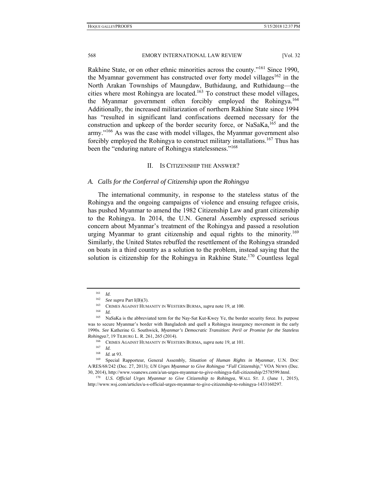Rakhine State, or on other ethnic minorities across the county."<sup>161</sup> Since 1990. the Myamnar government has constructed over forty model villages $162$  in the North Arakan Townships of Maungdaw, Buthidaung, and Ruthidaung—the cities where most Rohingya are located.<sup>163</sup> To construct these model villages, the Myanmar government often forcibly employed the Rohingya.<sup>164</sup> Additionally, the increased militarization of northern Rakhine State since 1994 has "resulted in significant land confiscations deemed necessary for the construction and upkeep of the border security force, or NaSaKa, 165 and the army."<sup>166</sup> As was the case with model villages, the Myanmar government also forcibly employed the Rohingya to construct military installations.<sup>167</sup> Thus has been the "enduring nature of Rohingya statelessness."<sup>168</sup>

#### II. IS CITIZENSHIP THE ANSWER?

#### *A. Calls for the Conferral of Citizenship upon the Rohingya*

The international community, in response to the stateless status of the Rohingya and the ongoing campaigns of violence and ensuing refugee crisis, has pushed Myanmar to amend the 1982 Citizenship Law and grant citizenship to the Rohingya. In 2014, the U.N. General Assembly expressed serious concern about Myanmar's treatment of the Rohingya and passed a resolution urging Myanmar to grant citizenship and equal rights to the minority.<sup>169</sup> Similarly, the United States rebuffed the resettlement of the Rohingya stranded on boats in a third country as a solution to the problem, instead saying that the solution is citizenship for the Rohingya in Rakhine State.<sup>170</sup> Countless legal

<sup>&</sup>lt;sup>161</sup> *Id.* See supra Part I(B)(3).

<sup>&</sup>lt;sup>163</sup> CRIMES AGAINST HUMANITY IN WESTERN BURMA, *supra* note 19, at 100. <sup>164</sup> *Id.* 

<sup>165</sup> NaSaKa is the abbreviated term for the Nay-Sat Kut-Kwey Ye, the border security force. Its purpose was to secure Myanmar's border with Bangladesh and quell a Rohingya insurgency movement in the early 1990s. *See* Katherine G. Southwick, *Myanmar's Democratic Transition: Peril or Promise for the Stateless Rohingya?*, 19 TILBURG L. R. 261, 265 (2014).<br><sup>166</sup> CRIMES AGAINST HUMANITY IN WESTERN BURMA, *supra* note 19, at 101.<br><sup>167</sup> *Id.*<br><sup>168</sup> *Id.* at 93.

<sup>&</sup>lt;sup>169</sup> Special Rapporteur, General Assembly, *Situation of Human Rights in Myanmar*, U.N. DOC A/RES/68/242 (Dec. 27, 2013); *UN Urges Myanmar to Give Rohingya "Full Citizenship*," VOA NEWS (Dec. 30, 2014), http://www.voanews.com/a/un-urges-myanmar-to-give-rohingya-full-citizenship/2578599.html. 170 *U.S. Official Urges Myanmar to Give Citizenship to Rohingya*, WALL ST. J. (June 1, 2015),

http://www.wsj.com/articles/u-s-official-urges-myanmar-to-give-citizenship-to-rohingya-1433160297.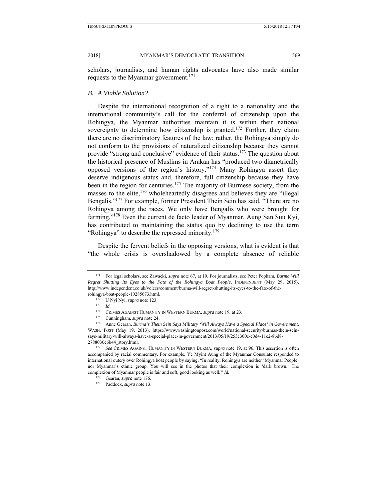scholars, journalists, and human rights advocates have also made similar requests to the Myanmar government.<sup>171</sup>

#### *B. A Viable Solution?*

Despite the international recognition of a right to a nationality and the international community's call for the conferral of citizenship upon the Rohingya, the Myanmar authorities maintain it is within their national sovereignty to determine how citizenship is granted.<sup>172</sup> Further, they claim there are no discriminatory features of the law; rather, the Rohingya simply do not conform to the provisions of naturalized citizenship because they cannot provide "strong and conclusive" evidence of their status.<sup>173</sup> The question about the historical presence of Muslims in Arakan has "produced two diametrically opposed versions of the region's history."<sup>174</sup> Many Rohingya assert they deserve indigenous status and, therefore, full citizenship because they have been in the region for centuries.<sup>175</sup> The majority of Burmese society, from the masses to the elite, $176$  wholeheartedly disagrees and believes they are "illegal" Bengalis."<sup>177</sup> For example, former President Thein Sein has said, "There are no Rohingya among the races. We only have Bengalis who were brought for farming."<sup>178</sup> Even the current de facto leader of Myanmar, Aung San Suu Kyi, has contributed to maintaining the status quo by declining to use the term "Rohingya" to describe the repressed minority.<sup>179</sup>

Despite the fervent beliefs in the opposing versions, what is evident is that "the whole crisis is overshadowed by a complete absence of reliable

<sup>171</sup> For legal scholars, see Zawacki, *supra* note 67, at 19. For journalists, see Peter Popham, *Burma Will Regret Shutting Its Eyes to the Fate of the Rohingya Boat People*, INDEPENDENT (May 29, 2015), http://www.independent.co.uk/voices/comment/burma-will-regret-shutting-its-eyes-to-the-fate-of-the-

rohingya-boat-people-10285673.html. 172 U Nyi Nyi, *supra* note 123. 173 *Id.*

<sup>&</sup>lt;sup>174</sup> CRIMES AGAINST HUMANITY IN WESTERN BURMA, *supra* note 19, at 23.<br><sup>175</sup> Cunningham, *supra* note 24.<br><sup>176</sup> Anne Gearan, *Burma's Thein Sein Says Military 'Will Always Have a Special Place' in Government*, WASH. POST (May 19, 2013), https://www.washingtonpost.com/world/national-security/burmas-thein-seinsays-military-will-always-have-a-special-place-in-government/2013/05/19/253c300e-c0d4-11e2-8bd8- 2788030e6b44\_story.html. 177 *See* CRIMES AGAINST HUMANITY IN WESTERN BURMA, *supra* note 19, at 96. This assertion is often

accompanied by racial commentary. For example, Ye Myint Aung of the Myanmar Consulate responded to international outcry over Rohingya boat people by saying, "In reality, Rohingya are neither 'Myanmar People' nor Myanmar's ethnic group. You will see in the photos that their complexion is 'dark brown.' The complexion of Myanmar people is fair and soft, good looking as well*." Id.* 

<sup>&</sup>lt;sup>179</sup> Paddock, *supra* note 13.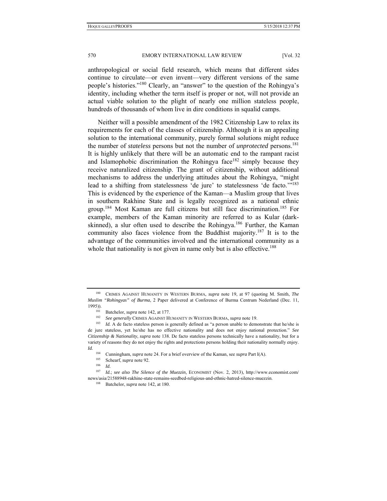anthropological or social field research, which means that different sides continue to circulate—or even invent—very different versions of the same people's histories."180 Clearly, an "answer" to the question of the Rohingya's identity, including whether the term itself is proper or not, will not provide an actual viable solution to the plight of nearly one million stateless people, hundreds of thousands of whom live in dire conditions in squalid camps.

Neither will a possible amendment of the 1982 Citizenship Law to relax its requirements for each of the classes of citizenship. Although it is an appealing solution to the international community, purely formal solutions might reduce the number of *stateless* persons but not the number of *unprotected* persons.181 It is highly unlikely that there will be an automatic end to the rampant racist and Islamophobic discrimination the Rohingya face<sup>182</sup> simply because they receive naturalized citizenship. The grant of citizenship, without additional mechanisms to address the underlying attitudes about the Rohingya, "might lead to a shifting from statelessness 'de jure' to statelessness 'de facto.'"<sup>183</sup> This is evidenced by the experience of the Kaman—a Muslim group that lives in southern Rakhine State and is legally recognized as a national ethnic group.<sup>184</sup> Most Kaman are full citizens but still face discrimination.<sup>185</sup> For example, members of the Kaman minority are referred to as Kular (darkskinned), a slur often used to describe the Rohingya.<sup>186</sup> Further, the Kaman community also faces violence from the Buddhist majority.<sup>187</sup> It is to the advantage of the communities involved and the international community as a whole that nationality is not given in name only but is also effective.<sup>188</sup>

<sup>180</sup> CRIMES AGAINST HUMANITY IN WESTERN BURMA, *supra* note 19, at 97 (quoting M. Smith, *The Muslim "Rohingyas" of Burma*, 2 Paper delivered at Conference of Burma Centrum Nederland (Dec. 11, 1995)).<br>
<sup>181</sup> Batchelor, *supra* note 142, at 177.<br>
<sup>182</sup> See generally CRIMES AGAINST HUMANITY IN WESTERN BURMA, *supra* note 19.<br>
<sup>183</sup> Id. A de facto stateless person is generally defined as "a person unable to demons

de jure stateless, yet he/she has no effective nationality and does not enjoy national protection." *See Citizenship & Nationality*, *supra* note 138. De facto stateless persons technically have a nationality, but for a variety of reasons they do not enjoy the rights and protections persons holding their nationality normally enjoy. *Id.*

<sup>184</sup> Cunningham, *supra* note 24. For a brief overview of the Kaman, see *supra* Part I(A).<br>
185 Schearf, *supra* note 92.<br>
186 *Id.*<br>
187 *Id. see also The Silence of the Muezzin* ECONOMIST (Nov. 2, 2013). http://www.

<sup>187</sup> *Id.*; *see also The Silence of the Muezzin,* ECONOMIST (Nov. 2, 2013), http://www.economist.com/ news/asia/21588948-rakhine-state-remains-seedbed-religious-and-ethnic-hatred-silence-muezzin. 188 Batchelor, *supra* note 142, at 180.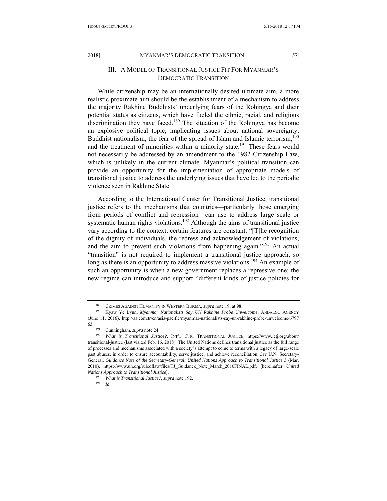## III. A MODEL OF TRANSITIONAL JUSTICE FIT FOR MYANMAR'S DEMOCRATIC TRANSITION

While citizenship may be an internationally desired ultimate aim, a more realistic proximate aim should be the establishment of a mechanism to address the majority Rakhine Buddhists' underlying fears of the Rohingya and their potential status as citizens, which have fueled the ethnic, racial, and religious discrimination they have faced.<sup>189</sup> The situation of the Rohingya has become an explosive political topic, implicating issues about national sovereignty, Buddhist nationalism, the fear of the spread of Islam and Islamic terrorism,<sup>190</sup> and the treatment of minorities within a minority state.<sup>191</sup> These fears would not necessarily be addressed by an amendment to the 1982 Citizenship Law, which is unlikely in the current climate. Myanmar's political transition can provide an opportunity for the implementation of appropriate models of transitional justice to address the underlying issues that have led to the periodic violence seen in Rakhine State.

According to the International Center for Transitional Justice, transitional justice refers to the mechanisms that countries—particularly those emerging from periods of conflict and repression—can use to address large scale or systematic human rights violations.<sup>192</sup> Although the aims of transitional justice vary according to the context, certain features are constant: "[T]he recognition of the dignity of individuals, the redress and acknowledgement of violations, and the aim to prevent such violations from happening again."<sup>193</sup> An actual "transition" is not required to implement a transitional justice approach, so long as there is an opportunity to address massive violations.<sup>194</sup> An example of such an opportunity is when a new government replaces a repressive one; the new regime can introduce and support "different kinds of justice policies for

<sup>&</sup>lt;sup>189</sup> CRIMES AGAINST HUMANITY IN WESTERN BURMA, *supra* note 19, at 98.<br><sup>190</sup> Kyaw Ye Lynn, *Myanmar Nationalists Say UN Rakhine Probe Unwelcome*, ANDALOU AGENCY

<sup>(</sup>June 11, 2016), http://aa.com.tr/en/asia-pacific/myanmar-nationalists-say-un-rakhine-probe-unwelcome/6797

<sup>63. 191</sup> Cunningham, *supra* note 24. 192 *What is Transitional Justice?*, INT'L CTR. TRANSITIONAL JUSTICE, https://www.ictj.org/about/ transitional-justice (last visited Feb. 16, 2018). The United Nations defines transitional justice as the full range of processes and mechanisms associated with a society's attempt to come to terms with a legacy of large-scale past abuses, in order to ensure accountability, serve justice, and achieve reconciliation. *See* U.N. Secretary-General, *Guidance Note of the Secretary-General: United Nations Approach to Transitional Justice* 3 (Mar. 2010), https://www.un.org/ruleoflaw/files/TJ\_Guidance\_Note\_March\_2010FINAL.pdf. [hereinafter *United Nations Approach to Transitional Justice*]. 193 *What is Transitional Justice?*, *supra* note 192. 194 *Id.*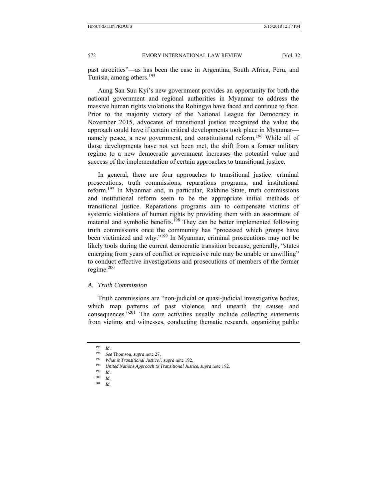past atrocities"—as has been the case in Argentina, South Africa, Peru, and Tunisia, among others.<sup>195</sup>

Aung San Suu Kyi's new government provides an opportunity for both the national government and regional authorities in Myanmar to address the massive human rights violations the Rohingya have faced and continue to face. Prior to the majority victory of the National League for Democracy in November 2015, advocates of transitional justice recognized the value the approach could have if certain critical developments took place in Myanmar namely peace, a new government, and constitutional reform.<sup>196</sup> While all of those developments have not yet been met, the shift from a former military regime to a new democratic government increases the potential value and success of the implementation of certain approaches to transitional justice.

In general, there are four approaches to transitional justice: criminal prosecutions, truth commissions, reparations programs, and institutional reform.197 In Myanmar and, in particular, Rakhine State, truth commissions and institutional reform seem to be the appropriate initial methods of transitional justice. Reparations programs aim to compensate victims of systemic violations of human rights by providing them with an assortment of material and symbolic benefits.<sup>198</sup> They can be better implemented following truth commissions once the community has "processed which groups have been victimized and why."199 In Myanmar, criminal prosecutions may not be likely tools during the current democratic transition because, generally, "states emerging from years of conflict or repressive rule may be unable or unwilling" to conduct effective investigations and prosecutions of members of the former regime.200

#### *A. Truth Commission*

Truth commissions are "non-judicial or quasi-judicial investigative bodies, which map patterns of past violence, and unearth the causes and consequences."201 The core activities usually include collecting statements from victims and witnesses, conducting thematic research, organizing public

 $\frac{195}{196}$  *Id.* 

<sup>196</sup> *See* Thomson, *supra* note 27.

<sup>197</sup> *What is Transitional Justice?*, *supra* note 192.<br>
<sup>198</sup> *United Nations Approach to Transitional Justice*, *supra* note 192.<br>
<sup>200</sup> *I<sub>J</sub>* 

*Id.*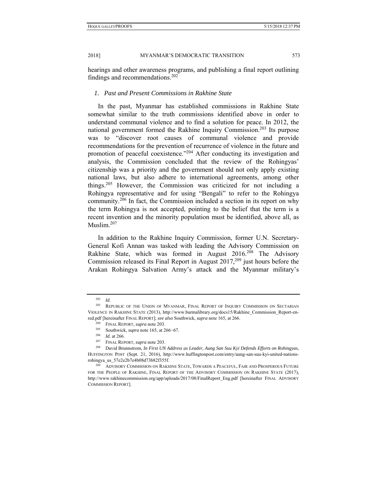hearings and other awareness programs, and publishing a final report outlining findings and recommendations.  $202$ 

## *1. Past and Present Commissions in Rakhine State*

In the past, Myanmar has established commissions in Rakhine State somewhat similar to the truth commissions identified above in order to understand communal violence and to find a solution for peace. In 2012, the national government formed the Rakhine Inquiry Commission.203 Its purpose was to "discover root causes of communal violence and provide recommendations for the prevention of recurrence of violence in the future and promotion of peaceful coexistence."<sup>204</sup> After conducting its investigation and analysis, the Commission concluded that the review of the Rohingyas' citizenship was a priority and the government should not only apply existing national laws, but also adhere to international agreements, among other things.205 However, the Commission was criticized for not including a Rohingya representative and for using "Bengali" to refer to the Rohingya community.206 In fact, the Commission included a section in its report on why the term Rohingya is not accepted, pointing to the belief that the term is a recent invention and the minority population must be identified, above all, as Muslim.<sup>207</sup>

In addition to the Rakhine Inquiry Commission, former U.N. Secretary-General Kofi Annan was tasked with leading the Advisory Commission on Rakhine State, which was formed in August  $2016^{208}$  The Advisory Commission released its Final Report in August  $2017,209$  just hours before the Arakan Rohingya Salvation Army's attack and the Myanmar military's

<sup>202</sup> *Id.* 203 REPUBLIC OF THE UNION OF MYANMAR, FINAL REPORT OF INQUIRY COMMISSION ON SECTARIAN VIOLENCE IN RAKHINE STATE (2013), http://www.burmalibrary.org/docs15/Rakhine\_Commission\_Report-enred.pdf [hereinafter FINAL REPORT]; *see also* Southwick, *supra* note 165, at 266.<br><sup>204</sup> FINAL REPORT, *supra* note 203.<br><sup>205</sup> Southwick, *supra* note 165, at 266–67.<br><sup>206</sup> Id. at 266.<br><sup>207</sup> FINAL REPORT, *supra* note 20

HUFFINGTON POST (Sept. 21, 2016), http://www.huffingtonpost.com/entry/aung-san-suu-kyi-united-nationsrohingya\_us\_57e2e2b7e4b08d73b82f355f. 209 ADVISORY COMMISSION ON RAKHINE STATE, TOWARDS A PEACEFUL, FAIR AND PROSPEROUS FUTURE

FOR THE PEOPLE OF RAKHINE, FINAL REPORT OF THE ADVISORY COMMISSION ON RAKHINE STATE (2017), http://www.rakhinecommission.org/app/uploads/2017/08/FinalReport\_Eng.pdf [hereinafter FINAL ADVISORY COMMISSION REPORT].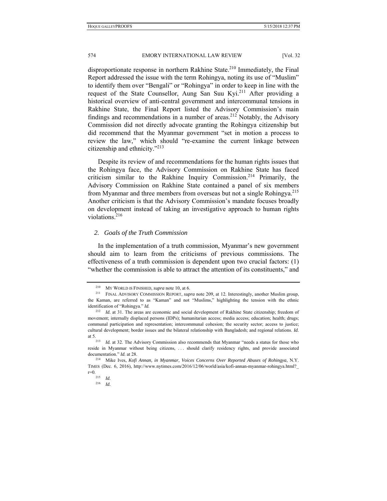disproportionate response in northern Rakhine State.<sup>210</sup> Immediately, the Final Report addressed the issue with the term Rohingya, noting its use of "Muslim" to identify them over "Bengali" or "Rohingya" in order to keep in line with the request of the State Counsellor, Aung San Suu Kyi.<sup>211</sup> After providing a historical overview of anti-central government and intercommunal tensions in Rakhine State, the Final Report listed the Advisory Commission's main findings and recommendations in a number of areas.<sup>212</sup> Notably, the Advisory Commission did not directly advocate granting the Rohingya citizenship but did recommend that the Myanmar government "set in motion a process to review the law," which should "re-examine the current linkage between citizenship and ethnicity."213

Despite its review of and recommendations for the human rights issues that the Rohingya face, the Advisory Commission on Rakhine State has faced criticism similar to the Rakhine Inquiry Commission.214 Primarily, the Advisory Commission on Rakhine State contained a panel of six members from Myanmar and three members from overseas but not a single Rohingya.<sup>215</sup> Another criticism is that the Advisory Commission's mandate focuses broadly on development instead of taking an investigative approach to human rights violations.<sup>216</sup>

#### *2. Goals of the Truth Commission*

In the implementation of a truth commission, Myanmar's new government should aim to learn from the criticisms of previous commissions. The effectiveness of a truth commission is dependent upon two crucial factors: (1) "whether the commission is able to attract the attention of its constituents," and

<sup>&</sup>lt;sup>210</sup> MY WORLD IS FINISHED, *supra* note 10, at 6.<br><sup>211</sup> FINAL ADVISORY COMMISSION REPORT, *supra* note 209, at 12. Interestingly, another Muslim group, the Kaman, are referred to as "Kaman" and not "Muslims," highlighting the tension with the ethnic identification of "Rohingya." *Id.* 

<sup>&</sup>lt;sup>212</sup> *Id.* at 31. The areas are economic and social development of Rakhine State citizenship; freedom of movement; internally displaced persons (IDPs); humanitarian access; media access; education; health; drugs; communal participation and representation; intercommunal cohesion; the security sector; access to justice; cultural development; border issues and the bilateral relationship with Bangladesh; and regional relations. *Id.* at 5. 213 *Id.* at 32. The Advisory Commission also recommends that Myanmar "needs a status for those who

reside in Myanmar without being citizens, . . . should clarify residency rights, and provide associated documentation." *Id.* at 28.<br><sup>214</sup> Mike Ives, *Kofi Annan, in Myanmar, Voices Concerns Over Reported Abuses of Rohingya, N.Y.* 

TIMES (Dec. 6, 2016), http://www.nytimes.com/2016/12/06/world/asia/kofi-annan-myanmar-rohingya.html?\_  $r=0.$ <sup>215</sup> *Id.* 

<sup>216</sup> *Id.*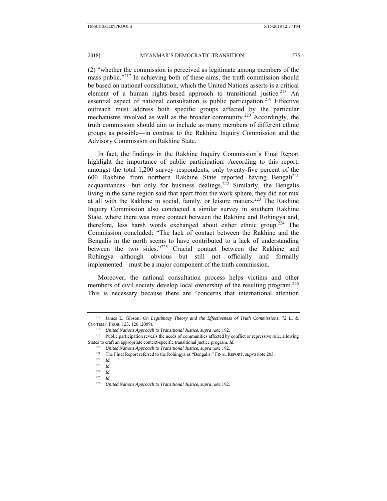(2) "whether the commission is perceived as legitimate among members of the mass public."<sup>217</sup> In achieving both of these aims, the truth commission should be based on national consultation, which the United Nations asserts is a critical element of a human rights-based approach to transitional justice.<sup>218</sup> An essential aspect of national consultation is public participation.<sup>219</sup> Effective outreach must address both specific groups affected by the particular mechanisms involved as well as the broader community.<sup>220</sup> Accordingly, the truth commission should aim to include as many members of different ethnic groups as possible—in contrast to the Rakhine Inquiry Commission and the Advisory Commission on Rakhine State.

In fact, the findings in the Rakhine Inquiry Commission's Final Report highlight the importance of public participation. According to this report, amongst the total 1,200 survey respondents, only twenty-five percent of the 600 Rakhine from northern Rakhine State reported having Bengali<sup>221</sup> acquaintances—but only for business dealings.<sup>222</sup> Similarly, the Bengalis living in the same region said that apart from the work sphere, they did not mix at all with the Rakhine in social, family, or leisure matters.<sup>223</sup> The Rakhine Inquiry Commission also conducted a similar survey in southern Rakhine State, where there was more contact between the Rakhine and Rohingya and, therefore, less harsh words exchanged about either ethnic group.<sup>224</sup> The Commission concluded: "The lack of contact between the Rakhine and the Bengalis in the north seems to have contributed to a lack of understanding between the two sides."<sup>225</sup> Crucial contact between the Rakhine and Rohingya—although obvious but still not officially and formally implemented—must be a major component of the truth commission.

Moreover, the national consultation process helps victims and other members of civil society develop local ownership of the resulting program.<sup>226</sup> This is necessary because there are "concerns that international attention

<sup>217</sup> James L. Gibson, *On Legitimacy Theory and the Effectiveness of Truth Commissions*, 72 L. & CONTEMP. PROB. 123, 126 (2009). 218 *United Nations Approach to Transitional Justice*, *supra* note 192. 219 Public participation reveals the needs of communities affected by conflict or repressive rule, allowing

States to craft an appropriate context-specific transitional justice program. *Id.*

<sup>220</sup> *United Nations Approach to Transitional Justice*, *supra* note 192. 221 The Final Report referred to the Rohingya as "Bengalis." FINAL REPORT, *supra* note 203. 222 *Id.*

 $\frac{223}{224}$  *Id.* 

 $\frac{224}{225}$  *Id.* 

<sup>225</sup> *Id.*

<sup>226</sup> *United Nations Approach to Transitional Justice*, *supra* note 192.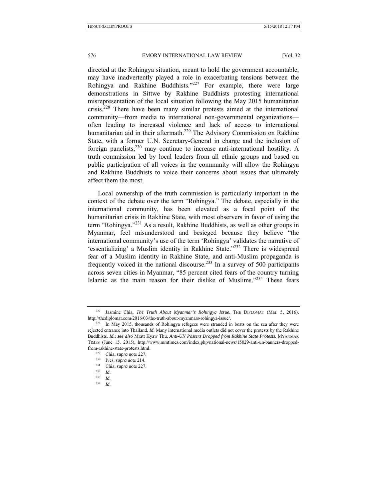directed at the Rohingya situation, meant to hold the government accountable, may have inadvertently played a role in exacerbating tensions between the Rohingya and Rakhine Buddhists."<sup>227</sup> For example, there were large demonstrations in Sittwe by Rakhine Buddhists protesting international misrepresentation of the local situation following the May 2015 humanitarian crisis.228 There have been many similar protests aimed at the international community—from media to international non-governmental organizations often leading to increased violence and lack of access to international humanitarian aid in their aftermath.229 The Advisory Commission on Rakhine State, with a former U.N. Secretary-General in charge and the inclusion of foreign panelists,  $230$  may continue to increase anti-international hostility. A truth commission led by local leaders from all ethnic groups and based on public participation of all voices in the community will allow the Rohingya and Rakhine Buddhists to voice their concerns about issues that ultimately affect them the most.

Local ownership of the truth commission is particularly important in the context of the debate over the term "Rohingya." The debate, especially in the international community, has been elevated as a focal point of the humanitarian crisis in Rakhine State, with most observers in favor of using the term "Rohingya."231 As a result, Rakhine Buddhists, as well as other groups in Myanmar, feel misunderstood and besieged because they believe "the international community's use of the term 'Rohingya' validates the narrative of 'essentializing' a Muslim identity in Rakhine State."232 There is widespread fear of a Muslim identity in Rakhine State, and anti-Muslim propaganda is frequently voiced in the national discourse.<sup>233</sup> In a survey of 500 participants across seven cities in Myanmar, "85 percent cited fears of the country turning Islamic as the main reason for their dislike of Muslims."<sup>234</sup> These fears

<sup>227</sup> Jasmine Chia, *The Truth About Myanmar's Rohingya Issue*, THE DIPLOMAT (Mar. 5, 2016), http://thediplomat.com/2016/03/the-truth-about-myanmars-rohingya-issue/.<br><sup>228</sup> In May 2015, thousands of Rohingya refugees were stranded in boats on the sea after they were

rejected entrance into Thailand. *Id.* Many international media outlets did not cover the protests by the Rakhine Buddhists. *Id.*; *see also* Mratt Kyaw Thu, *Anti-UN Posters Dropped from Rakhine State Protests*, MYANMAR TIMES (June 15, 2015), http://www.mmtimes.com/index.php/national-news/15029-anti-un-banners-dropped-

from-rakhine-state-protests.html. 229 Chia, *supra* note 227. 230 Ives, *supra* note 214. 231 Chia, *supra* note 227. 232 *Id.*

<sup>233</sup> *Id.*

<sup>234</sup> *Id.*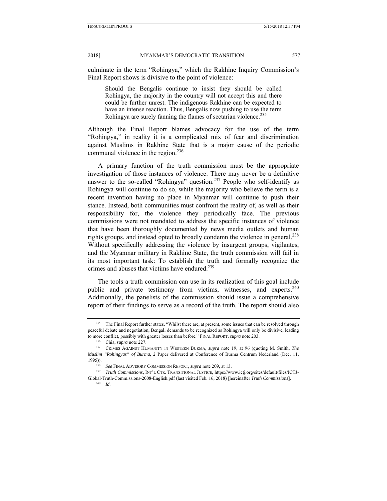culminate in the term "Rohingya," which the Rakhine Inquiry Commission's Final Report shows is divisive to the point of violence:

Should the Bengalis continue to insist they should be called Rohingya, the majority in the country will not accept this and there could be further unrest. The indigenous Rakhine can be expected to have an intense reaction. Thus, Bengalis now pushing to use the term Rohingya are surely fanning the flames of sectarian violence.<sup>235</sup>

Although the Final Report blames advocacy for the use of the term "Rohingya," in reality it is a complicated mix of fear and discrimination against Muslims in Rakhine State that is a major cause of the periodic communal violence in the region.<sup>236</sup>

A primary function of the truth commission must be the appropriate investigation of those instances of violence. There may never be a definitive answer to the so-called "Rohingya" question.<sup>237</sup> People who self-identify as Rohingya will continue to do so, while the majority who believe the term is a recent invention having no place in Myanmar will continue to push their stance. Instead, both communities must confront the reality of, as well as their responsibility for, the violence they periodically face. The previous commissions were not mandated to address the specific instances of violence that have been thoroughly documented by news media outlets and human rights groups, and instead opted to broadly condemn the violence in general.<sup>238</sup> Without specifically addressing the violence by insurgent groups, vigilantes, and the Myanmar military in Rakhine State, the truth commission will fail in its most important task: To establish the truth and formally recognize the crimes and abuses that victims have endured.<sup>239</sup>

The tools a truth commission can use in its realization of this goal include public and private testimony from victims, witnesses, and experts.<sup>240</sup> Additionally, the panelists of the commission should issue a comprehensive report of their findings to serve as a record of the truth. The report should also

The Final Report further states, "Whilst there are, at present, some issues that can be resolved through peaceful debate and negotiation, Bengali demands to be recognized as Rohingya will only be divisive, leading to more conflict, possibly with greater losses than before." FINAL REPORT, *supra* note 203.<br><sup>236</sup> Chia, *supra* note 227.<br><sup>237</sup> CRIMES AGAINST HUMANITY IN WESTERN BURMA, *supra* note 19, at 96 (quoting M. Smith, *The* 

*Muslim "Rohingyas" of Burma*, 2 Paper delivered at Conference of Burma Centrum Nederland (Dec. 11, 1995)). 238 *See* FINAL ADVISORY COMMISSION REPORT, *supra* note 209, at 13. 239 *Truth Commissions*, INT'L CTR. TRANSITIONAL JUSTICE, https://www.ictj.org/sites/default/files/ICTJ-

Global-Truth-Commissions-2008-English.pdf (last visited Feb. 16, 2018) [hereinafter *Truth Commissions*]. 240 *Id.*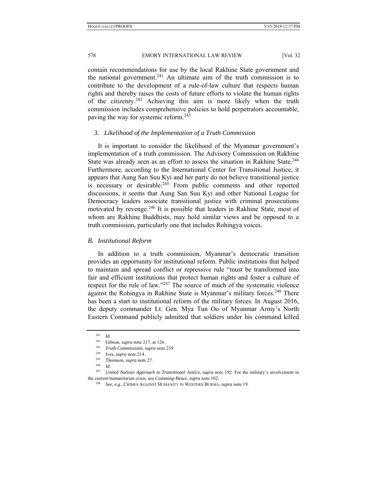contain recommendations for use by the local Rakhine State government and the national government.<sup>241</sup> An ultimate aim of the truth commission is to contribute to the development of a rule-of-law culture that respects human rights and thereby raises the costs of future efforts to violate the human rights of the citizenry.<sup>242</sup> Achieving this aim is more likely when the truth commission includes comprehensive policies to hold perpetrators accountable, paving the way for systemic reform.<sup>243</sup>

#### *3. Likelihood of the Implementation of a Truth Commission*

It is important to consider the likelihood of the Myanmar government's implementation of a truth commission. The Advisory Commission on Rakhine State was already seen as an effort to assess the situation in Rakhine State.<sup>244</sup> Furthermore, according to the International Center for Transitional Justice, it appears that Aung San Suu Kyi and her party do not believe transitional justice is necessary or desirable.<sup>245</sup> From public comments and other reported discussions, it seems that Aung San Suu Kyi and other National League for Democracy leaders associate transitional justice with criminal prosecutions motivated by revenge.246 It is possible that leaders in Rakhine State, most of whom are Rakhine Buddhists, may hold similar views and be opposed to a truth commission, particularly one that includes Rohingya voices.

#### *B. Institutional Reform*

In addition to a truth commission, Myanmar's democratic transition provides an opportunity for institutional reform. Public institutions that helped to maintain and spread conflict or repressive rule "must be transformed into fair and efficient institutions that protect human rights and foster a culture of respect for the rule of law."<sup>247</sup> The source of much of the systematic violence against the Rohingya in Rakhine State is Myanmar's military forces.<sup>248</sup> There has been a start to institutional reform of the military forces. In August 2016, the deputy commander Lt. Gen. Mya Tun Oo of Myanmar Army's North Eastern Command publicly admitted that soldiers under his command killed

<sup>&</sup>lt;sup>241</sup> *Id.* Gibson, *supra* note 217, at 126.

<sup>242</sup> Gibson, *supra* note 217, at 126. 243 *Truth Commissions*, *supra* note 239. 244 Ives, *supra* note 214.

<sup>245</sup> Thomson, *supra* note 27.

<sup>246</sup> *Id.*

<sup>247</sup> *United Nations Approach to Transitional Justice*, *supra* note 192. For the military's involvement in the current humanitarian crisis, see Cumming-Bruce, *supra* note 102. 248 *See, e.g.*, CRIMES AGAINST HUMANITY IN WESTERN BURMA, *supra* note 19.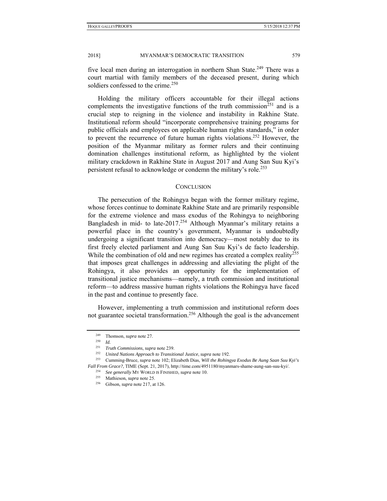five local men during an interrogation in northern Shan State.<sup>249</sup> There was a court martial with family members of the deceased present, during which soldiers confessed to the crime.<sup>250</sup>

Holding the military officers accountable for their illegal actions complements the investigative functions of the truth commission<sup>251</sup> and is a crucial step to reigning in the violence and instability in Rakhine State. Institutional reform should "incorporate comprehensive training programs for public officials and employees on applicable human rights standards," in order to prevent the recurrence of future human rights violations.252 However, the position of the Myanmar military as former rulers and their continuing domination challenges institutional reform, as highlighted by the violent military crackdown in Rakhine State in August 2017 and Aung San Suu Kyi's persistent refusal to acknowledge or condemn the military's role.<sup>253</sup>

#### **CONCLUSION**

The persecution of the Rohingya began with the former military regime, whose forces continue to dominate Rakhine State and are primarily responsible for the extreme violence and mass exodus of the Rohingya to neighboring Bangladesh in mid- to late-2017.<sup>254</sup> Although Myanmar's military retains a powerful place in the country's government, Myanmar is undoubtedly undergoing a significant transition into democracy—most notably due to its first freely elected parliament and Aung San Suu Kyi's de facto leadership. While the combination of old and new regimes has created a complex reality<sup>255</sup> that imposes great challenges in addressing and alleviating the plight of the Rohingya, it also provides an opportunity for the implementation of transitional justice mechanisms—namely, a truth commission and institutional reform—to address massive human rights violations the Rohingya have faced in the past and continue to presently face.

However, implementing a truth commission and institutional reform does not guarantee societal transformation.256 Although the goal is the advancement

<sup>249</sup> Thomson, *supra* note 27. 250 *Id.*

<sup>&</sup>lt;sup>251</sup> Truth Commissions, supra note 239.<br><sup>252</sup> United Nations Approach to Transitional Justice, supra note 192.<br><sup>253</sup> Cumming-Bruce, supra note 102; Elizabeth Dias, Will the Rohingya Exodus Be Aung Saan Suu Kyi's Fall From Grace?, TIME (Sept. 21, 2017), http://time.com/4951180/myanmars-shame-aung-san-suu-kyi/.<br><sup>254</sup> See generally MY WORLD IS FINISHED, *supra* note 10.<br><sup>255</sup> Mathieson, *supra* note 25.<br><sup>256</sup> Gibson, *supra* note 217